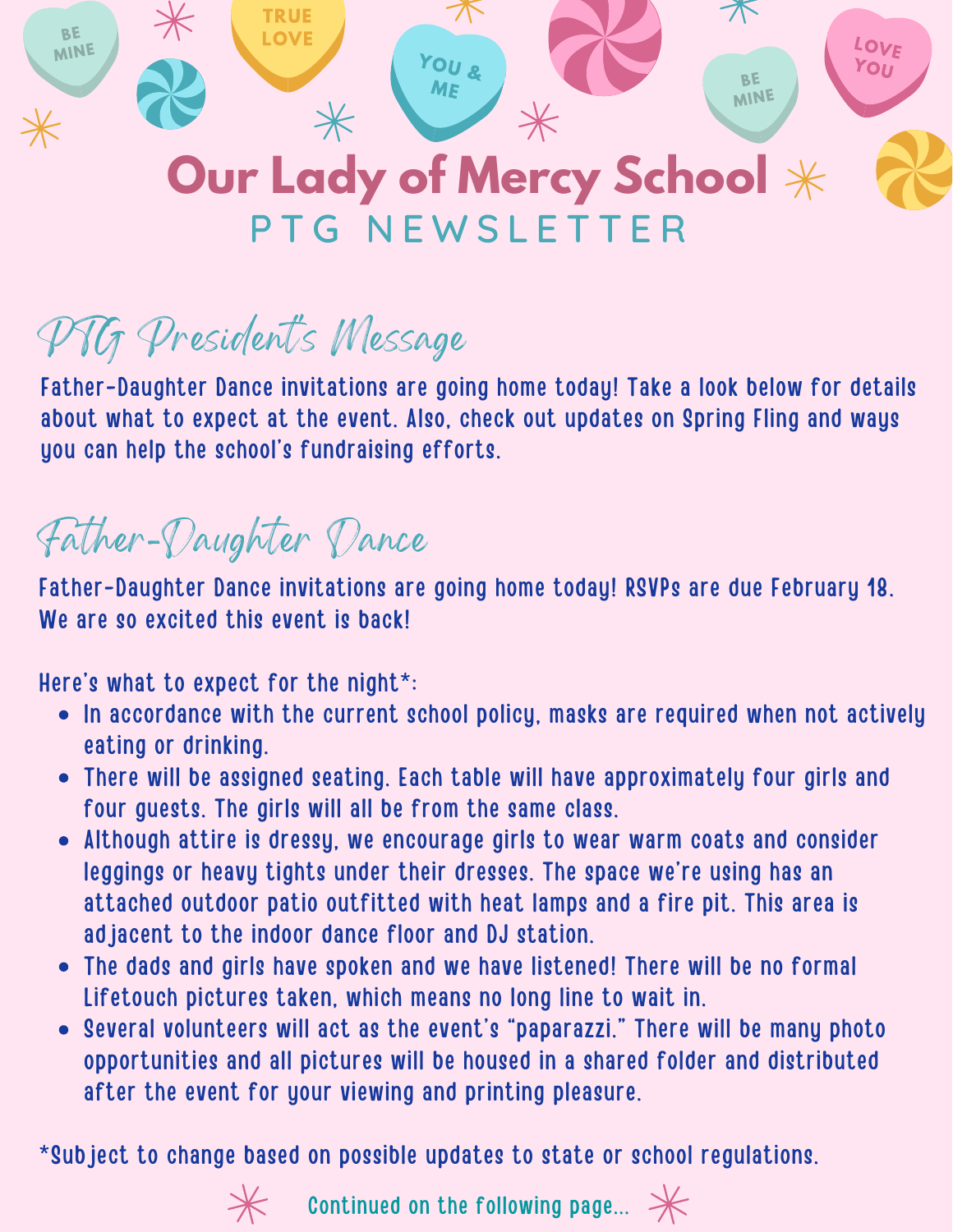

#### **Our Lady of Mercy School** P T G N E W S L E T T E R

PTG President' s Message

Father-Daughter Dance invitations are going home today! Take a look below for details about what to expect at the event. Also, check out updates on Spring Fling and ways you can help the school's fundraising efforts.

#### Father-Daughter Dance

Father-Daughter Dance invitations are going home today! RSVPs are due February 18. We are so excited this event is back!

Here's what to expect for the night\*:

- In accordance with the current school policy, masks are required when not actively eating or drinking.
- There will be assigned seating. Each table will have approximately four girls and four guests. The girls will all be from the same class.
- Although attire is dressy, we encourage girls to wear warm coats and consider leggings or heavy tights under their dresses. The space we're using has an attached outdoor patio outfitted with heat lamps and a fire pit. This area is adjacent to the indoor dance floor and DJ station.
- The dads and girls have spoken and we have listened! There will be no formal Lifetouch pictures taken, which means no long line to wait in.
- Several volunteers will act as the event's "paparazzi." There will be many photo opportunities and all pictures will be housed in a shared folder and distributed after the event for your viewing and printing pleasure.

\*Subject to change based on possible updates to state or school regulations.



 $\mathcal H$  Continued on the following page...  $\mathcal H$